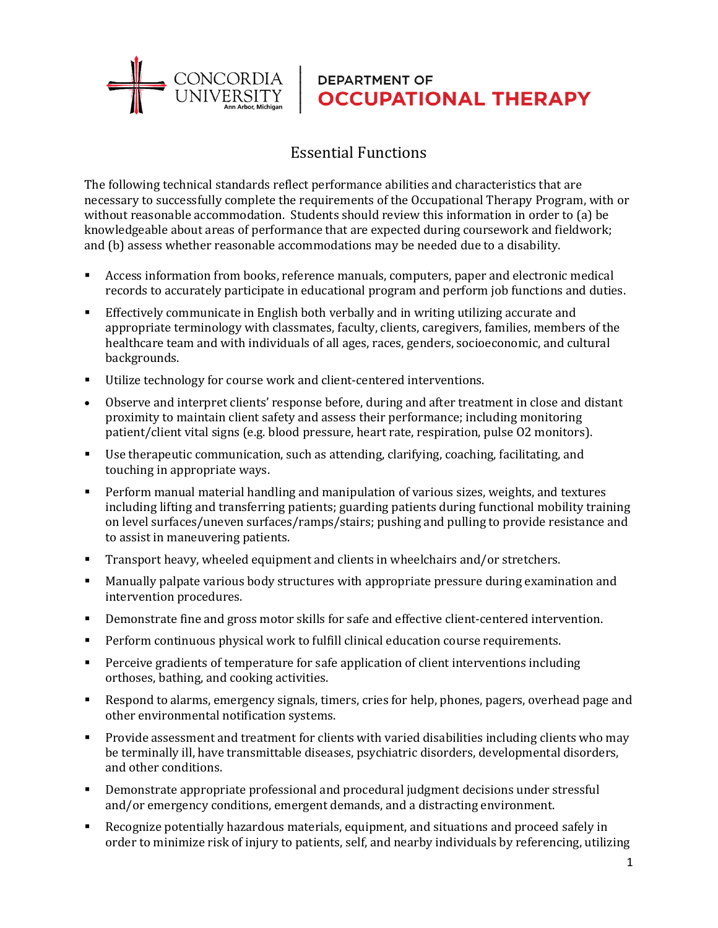

## **DEPARTMENT OF OCCUPATIONAL THERAPY**

## Essential Functions

The following technical standards reflect performance abilities and characteristics that are necessary to successfully complete the requirements of the Occupational Therapy Program, with or without reasonable accommodation. Students should review this information in order to (a) be knowledgeable about areas of performance that are expected during coursework and fieldwork; and (b) assess whether reasonable accommodations may be needed due to a disability.

- Access information from books, reference manuals, computers, paper and electronic medical records to accurately participate in educational program and perform job functions and duties.
- Effectively communicate in English both verbally and in writing utilizing accurate and appropriate terminology with classmates, faculty, clients, caregivers, families, members of the healthcare team and with individuals of all ages, races, genders, socioeconomic, and cultural backgrounds.
- Utilize technology for course work and client-centered interventions.
- Observe and interpret clients' response before, during and after treatment in close and distant proximity to maintain client safety and assess their performance; including monitoring patient/client vital signs (e.g. blood pressure, heart rate, respiration, pulse O2 monitors).
- Use therapeutic communication, such as attending, clarifying, coaching, facilitating, and touching in appropriate ways.
- Perform manual material handling and manipulation of various sizes, weights, and textures including lifting and transferring patients; guarding patients during functional mobility training on level surfaces/uneven surfaces/ramps/stairs; pushing and pulling to provide resistance and to assist in maneuvering patients.
- Transport heavy, wheeled equipment and clients in wheelchairs and/or stretchers.
- Manually palpate various body structures with appropriate pressure during examination and intervention procedures.
- Demonstrate fine and gross motor skills for safe and effective client-centered intervention.
- Perform continuous physical work to fulfill clinical education course requirements.
- Perceive gradients of temperature for safe application of client interventions including orthoses, bathing, and cooking activities.
- Respond to alarms, emergency signals, timers, cries for help, phones, pagers, overhead page and other environmental notification systems.
- Provide assessment and treatment for clients with varied disabilities including clients who may be terminally ill, have transmittable diseases, psychiatric disorders, developmental disorders, and other conditions.
- Demonstrate appropriate professional and procedural judgment decisions under stressful and/or emergency conditions, emergent demands, and a distracting environment.
- Recognize potentially hazardous materials, equipment, and situations and proceed safely in order to minimize risk of injury to patients, self, and nearby individuals by referencing, utilizing